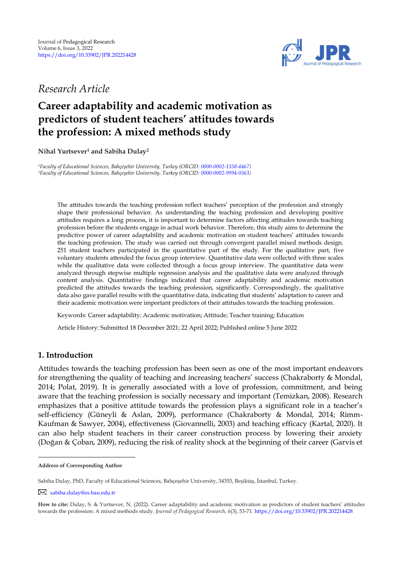

## *Research Article*

# **Career adaptability and academic motivation as predictors of student teachers' attitudes towards the profession: A mixed methods study**

**Nihal Yurtsever<sup>1</sup> and Sabiha Dulay<sup>2</sup>** 

*<sup>1</sup>Faculty of Educational Sciences, Bahçeşehir University, Turkey (ORCID[: 0000-0002-1338-4467\)](https://orcid.org/0000-0002-1338-4467) <sup>2</sup>Faculty of Educational Sciences, Bahçeşehir University, Turkey (ORCID[: 0000-0002-9994-0363\)](http://www.orcid.org/0000-0002-9994-0363)*

The attitudes towards the teaching profession reflect teachers' perception of the profession and strongly shape their professional behavior. As understanding the teaching profession and developing positive attitudes requires a long process, it is important to determine factors affecting attitudes towards teaching profession before the students engage in actual work behavior. Therefore, this study aims to determine the predictive power of career adaptability and academic motivation on student teachers' attitudes towards the teaching profession. The study was carried out through convergent parallel mixed methods design. 251 student teachers participated in the quantitative part of the study. For the qualitative part, five voluntary students attended the focus group interview. Quantitative data were collected with three scales while the qualitative data were collected through a focus group interview. The quantitative data were analyzed through stepwise multiple regression analysis and the qualitative data were analyzed through content analysis. Quantitative findings indicated that career adaptability and academic motivation predicted the attitudes towards the teaching profession, significantly. Correspondingly, the qualitative data also gave parallel results with the quantitative data, indicating that students' adaptation to career and their academic motivation were important predictors of their attitudes towards the teaching profession.

Keywords: Career adaptability; Academic motivation; Attitude; Teacher training; Education

Article History: Submitted 18 December 2021; 22 April 2022; Published online 5 June 2022

### **1. Introduction**

Attitudes towards the teaching profession has been seen as one of the most important endeavors for strengthening the quality of teaching and increasing teachers' success (Chakraborty & Mondal, 2014; Polat, 2019). It is generally associated with a love of profession, commitment, and being aware that the teaching profession is socially necessary and important (Temizkan, 2008). Research emphasizes that a positive attitude towards the profession plays a significant role in a teacher's self-efficiency (Güneyli & Aslan, 2009), performance (Chakraborty & Mondal, 2014; Rimm-Kaufman & Sawyer, 2004), effectiveness (Giovannelli, 2003) and teaching efficacy (Kartal, 2020). It can also help student teachers in their career construction process by lowering their anxiety (Doğan & Çoban, 2009), reducing the risk of reality shock at the beginning of their career (Garvis et

**Address of Corresponding Author**

Sabiha Dulay, PhD, Faculty of Educational Sciences, Bahçeşehir University, 34353, Beşiktaş, İstanbul, Turkey.

[sabiha.dulay@es.bau.edu.tr](mailto:sabiha.dulay@es.bau.edu.tr)

**How to cite:** Dulay, S. & Yurtsever, N. (2022). Career adaptability and academic motivation as predictors of student teachers' attitudes towards the profession: A mixed methods study. *Journal of Pedagogical Research, 6*(3), 53-71. <https://doi.org/10.33902/JPR.202214428>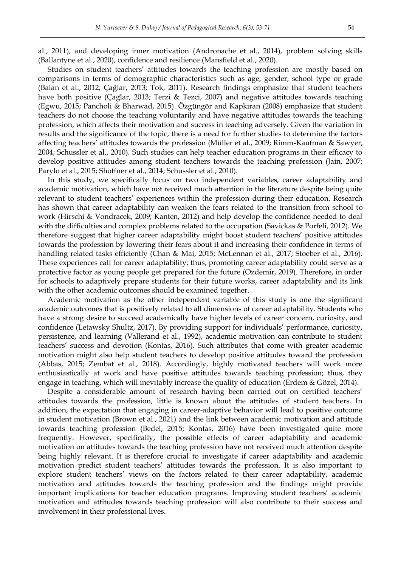al., 2011), and developing inner motivation (Andronache et al., 2014), problem solving skills (Ballantyne et al., 2020), confidence and resilience (Mansfield et al., 2020).

Studies on student teachers' attitudes towards the teaching profession are mostly based on comparisons in terms of demographic characteristics such as age, gender, school type or grade (Balan et al., 2012; Çağlar, 2013; Tok, 2011). Research findings emphasize that student teachers have both positive (Çaglar, 2013; Terzi & Tezci, 2007) and negative attitudes towards teaching (Egwu, 2015; Pancholi & Bharwad, 2015). Özgüngör and Kapkıran (2008) emphasize that student teachers do not choose the teaching voluntarily and have negative attitudes towards the teaching profession, which affects their motivation and success in teaching adversely. Given the variation in results and the significance of the topic, there is a need for further studies to determine the factors affecting teachers' attitudes towards the profession (Müller et al., 2009; Rimm-Kaufman & Sawyer, 2004; Schussler et al., 2010). Such studies can help teacher education programs in their efficacy to develop positive attitudes among student teachers towards the teaching profession (Jain, 2007; Parylo et al., 2015; Shoffner et al., 2014; Schussler et al., 2010).

In this study, we specifically focus on two independent variables, career adaptability and academic motivation, which have not received much attention in the literature despite being quite relevant to student teachers' experiences within the profession during their education. Research has shown that career adaptability can weaken the fears related to the transition from school to work (Hirschi & Vondracek, 2009; Kanten, 2012) and help develop the confidence needed to deal with the difficulties and complex problems related to the occupation (Savickas & Porfeli, 2012). We therefore suggest that higher career adaptability might boost student teachers' positive attitudes towards the profession by lowering their fears about it and increasing their confidence in terms of handling related tasks efficiently (Chan & Mai, 2015; McLennan et al., 2017; Stoeber et al., 2016). These experiences call for career adaptability; thus, promoting career adaptability could serve as a protective factor as young people get prepared for the future (Ozdemir, 2019). Therefore, in order for schools to adaptively prepare students for their future works, career adaptability and its link with the other academic outcomes should be examined together.

Academic motivation as the other independent variable of this study is one the significant academic outcomes that is positively related to all dimensions of career adaptability. Students who have a strong desire to succeed academically have higher levels of career concern, curiosity, and confidence (Letawsky Shultz, 2017). By providing support for individuals' performance, curiosity, persistence, and learning (Vallerand et al., 1992), academic motivation can contribute to student teachers' success and devotion (Kontas, 2016). Such attributes that come with greater academic motivation might also help student teachers to develop positive attitudes toward the profession (Abbas, 2015; Zembat et al., 2018). Accordingly, highly motivated teachers will work more enthusiastically at work and have positive attitudes towards teaching profession; thus, they engage in teaching, which will inevitably increase the quality of education (Erdem & Gözel, 2014).

Despite a considerable amount of research having been carried out on certified teachers' attitudes towards the profession, little is known about the attitudes of student teachers. In addition, the expectation that engaging in career-adaptive behavior will lead to positive outcome in student motivation (Brown et al., 2021) and the link between academic motivation and attitude towards teaching profession (Bedel, 2015; Kontas, 2016) have been investigated quite more frequently. However, specifically, the possible effects of career adaptability and academic motivation on attitudes towards the teaching profession have not received much attention despite being highly relevant. It is therefore crucial to investigate if career adaptability and academic motivation predict student teachers' attitudes towards the profession. It is also important to explore student teachers' views on the factors related to their career adaptability, academic motivation and attitudes towards the teaching profession and the findings might provide important implications for teacher education programs. Improving student teachers' academic motivation and attitudes towards teaching profession will also contribute to their success and involvement in their professional lives.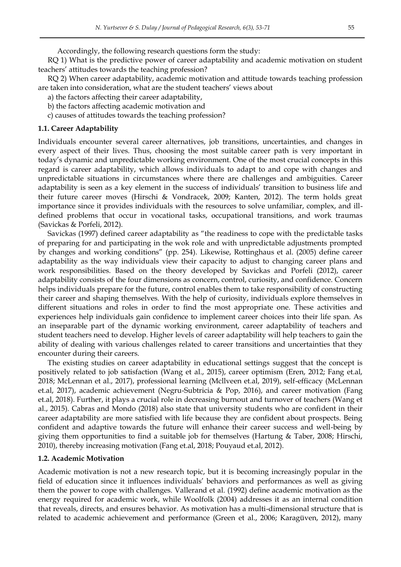Accordingly, the following research questions form the study:

RQ 1) What is the predictive power of career adaptability and academic motivation on student teachers' attitudes towards the teaching profession?

RQ 2) When career adaptability, academic motivation and attitude towards teaching profession are taken into consideration, what are the student teachers' views about

- a) the factors affecting their career adaptability,
- b) the factors affecting academic motivation and
- c) causes of attitudes towards the teaching profession?

### **1.1. Career Adaptability**

Individuals encounter several career alternatives, job transitions, uncertainties, and changes in every aspect of their lives. Thus, choosing the most suitable career path is very important in today's dynamic and unpredictable working environment. One of the most crucial concepts in this regard is career adaptability, which allows individuals to adapt to and cope with changes and unpredictable situations in circumstances where there are challenges and ambiguities. Career adaptability is seen as a key element in the success of individuals' transition to business life and their future career moves (Hirschi & Vondracek, 2009; Kanten, 2012). The term holds great importance since it provides individuals with the resources to solve unfamiliar, complex, and illdefined problems that occur in vocational tasks, occupational transitions, and work traumas (Savickas & Porfeli, 2012).

Savickas (1997) defined career adaptability as "the readiness to cope with the predictable tasks of preparing for and participating in the wok role and with unpredictable adjustments prompted by changes and working conditions" (pp. 254). Likewise, Rottinghaus et al. (2005) define career adaptability as the way individuals view their capacity to adjust to changing career plans and work responsibilities. Based on the theory developed by Savickas and Porfeli (2012), career adaptability consists of the four dimensions as concern, control, curiosity, and confidence. Concern helps individuals prepare for the future, control enables them to take responsibility of constructing their career and shaping themselves. With the help of curiosity, individuals explore themselves in different situations and roles in order to find the most appropriate one. These activities and experiences help individuals gain confidence to implement career choices into their life span. As an inseparable part of the dynamic working environment, career adaptability of teachers and student teachers need to develop. Higher levels of career adaptability will help teachers to gain the ability of dealing with various challenges related to career transitions and uncertainties that they encounter during their careers.

The existing studies on career adaptability in educational settings suggest that the concept is positively related to job satisfaction (Wang et al., 2015), career optimism (Eren, 2012; Fang et.al, 2018; McLennan et al., 2017), professional learning (Mcllveen et.al, 2019), self-efficacy (McLennan et.al, 2017), academic achievement (Negru-Subtricia & Pop, 2016), and career motivation (Fang et.al, 2018). Further, it plays a crucial role in decreasing burnout and turnover of teachers (Wang et al., 2015). Cabras and Mondo (2018) also state that university students who are confident in their career adaptability are more satisfied with life because they are confident about prospects. Being confident and adaptive towards the future will enhance their career success and well-being by giving them opportunities to find a suitable job for themselves (Hartung & Taber, 2008; Hirschi, 2010), thereby increasing motivation (Fang et.al, 2018; Pouyaud et.al, 2012).

#### **1.2. Academic Motivation**

Academic motivation is not a new research topic, but it is becoming increasingly popular in the field of education since it influences individuals' behaviors and performances as well as giving them the power to cope with challenges. Vallerand et al. (1992) define academic motivation as the energy required for academic work, while Woolfolk (2004) addresses it as an internal condition that reveals, directs, and ensures behavior. As motivation has a multi-dimensional structure that is related to academic achievement and performance (Green et al., 2006; Karagüven, 2012), many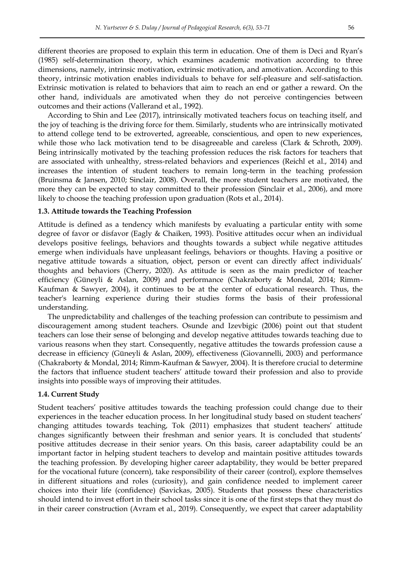different theories are proposed to explain this term in education. One of them is Deci and Ryan's (1985) self-determination theory, which examines academic motivation according to three dimensions, namely, intrinsic motivation, extrinsic motivation, and amotivation. According to this theory, intrinsic motivation enables individuals to behave for self-pleasure and self-satisfaction. Extrinsic motivation is related to behaviors that aim to reach an end or gather a reward. On the other hand, individuals are amotivated when they do not perceive contingencies between outcomes and their actions (Vallerand et al., 1992).

According to Shin and Lee (2017), intrinsically motivated teachers focus on teaching itself, and the joy of teaching is the driving force for them. Similarly, students who are intrinsically motivated to attend college tend to be extroverted, agreeable, conscientious, and open to new experiences, while those who lack motivation tend to be disagreeable and careless (Clark & Schroth, 2009). Being intrinsically motivated by the teaching profession reduces the risk factors for teachers that are associated with unhealthy, stress-related behaviors and experiences (Reichl et al., 2014) and increases the intention of student teachers to remain long-term in the teaching profession (Bruinsma & Jansen, 2010; Sinclair, 2008). Overall, the more student teachers are motivated, the more they can be expected to stay committed to their profession (Sinclair et al., 2006), and more likely to choose the teaching profession upon graduation (Rots et al., 2014).

### **1.3. Attitude towards the Teaching Profession**

Attitude is defined as a tendency which manifests by evaluating a particular entity with some degree of favor or disfavor (Eagly & Chaiken, 1993). Positive attitudes occur when an individual develops positive feelings, behaviors and thoughts towards a subject while negative attitudes emerge when individuals have unpleasant feelings, behaviors or thoughts. Having a positive or negative attitude towards a situation, object, person or event can directly affect individuals' thoughts and behaviors (Cherry, 2020). As attitude is seen as the main predictor of teacher efficiency (Güneyli & Aslan, 2009) and performance (Chakraborty & Mondal, 2014; Rimm-Kaufman & Sawyer, 2004), it continues to be at the center of educational research. Thus, the teacher's learning experience during their studies forms the basis of their professional understanding.

The unpredictability and challenges of the teaching profession can contribute to pessimism and discouragement among student teachers. Osunde and Izevbigic (2006) point out that student teachers can lose their sense of belonging and develop negative attitudes towards teaching due to various reasons when they start. Consequently, negative attitudes the towards profession cause a decrease in efficiency (Güneyli & Aslan, 2009), effectiveness (Giovannelli, 2003) and performance (Chakraborty & Mondal, 2014; Rimm-Kaufman & Sawyer, 2004). It is therefore crucial to determine the factors that influence student teachers' attitude toward their profession and also to provide insights into possible ways of improving their attitudes.

#### **1.4. Current Study**

Student teachers' positive attitudes towards the teaching profession could change due to their experiences in the teacher education process. In her longitudinal study based on student teachers' changing attitudes towards teaching, Tok (2011) emphasizes that student teachers' attitude changes significantly between their freshman and senior years. It is concluded that students' positive attitudes decrease in their senior years. On this basis, career adaptability could be an important factor in helping student teachers to develop and maintain positive attitudes towards the teaching profession. By developing higher career adaptability, they would be better prepared for the vocational future (concern), take responsibility of their career (control), explore themselves in different situations and roles (curiosity), and gain confidence needed to implement career choices into their life (confidence) (Savickas, 2005). Students that possess these characteristics should intend to invest effort in their school tasks since it is one of the first steps that they must do in their career construction (Avram et al., 2019). Consequently, we expect that career adaptability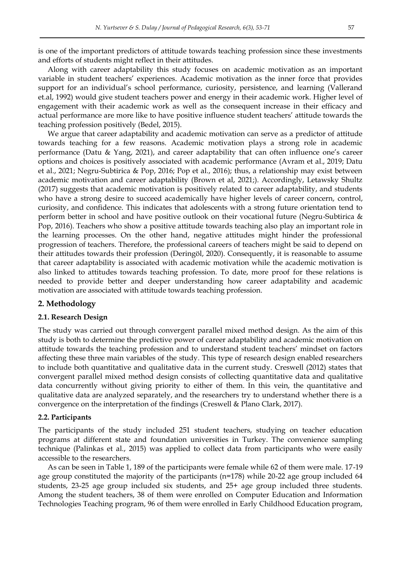is one of the important predictors of attitude towards teaching profession since these investments and efforts of students might reflect in their attitudes.

Along with career adaptability this study focuses on academic motivation as an important variable in student teachers' experiences. Academic motivation as the inner force that provides support for an individual's school performance, curiosity, persistence, and learning (Vallerand et.al, 1992) would give student teachers power and energy in their academic work. Higher level of engagement with their academic work as well as the consequent increase in their efficacy and actual performance are more like to have positive influence student teachers' attitude towards the teaching profession positively (Bedel, 2015).

We argue that career adaptability and academic motivation can serve as a predictor of attitude towards teaching for a few reasons. Academic motivation plays a strong role in academic performance (Datu & Yang, 2021), and career adaptability that can often influence one's career options and choices is positively associated with academic performance (Avram et al., 2019; Datu et al., 2021; Negru-Subtirica & Pop, 2016; Pop et al., 2016); thus, a relationship may exist between academic motivation and career adaptability (Brown et al, 2021;). Accordingly, Letawsky Shultz (2017) suggests that academic motivation is positively related to career adaptability, and students who have a strong desire to succeed academically have higher levels of career concern, control, curiosity, and confidence. This indicates that adolescents with a strong future orientation tend to perform better in school and have positive outlook on their vocational future (Negru-Subtirica & Pop, 2016). Teachers who show a positive attitude towards teaching also play an important role in the learning processes. On the other hand, negative attitudes might hinder the professional progression of teachers. Therefore, the professional careers of teachers might be said to depend on their attitudes towards their profession (Deringöl, 2020). Consequently, it is reasonable to assume that career adaptability is associated with academic motivation while the academic motivation is also linked to attitudes towards teaching profession. To date, more proof for these relations is needed to provide better and deeper understanding how career adaptability and academic motivation are associated with attitude towards teaching profession.

### **2. Methodology**

#### **2.1. Research Design**

The study was carried out through convergent parallel mixed method design. As the aim of this study is both to determine the predictive power of career adaptability and academic motivation on attitude towards the teaching profession and to understand student teachers' mindset on factors affecting these three main variables of the study. This type of research design enabled researchers to include both quantitative and qualitative data in the current study. Creswell (2012) states that convergent parallel mixed method design consists of collecting quantitative data and qualitative data concurrently without giving priority to either of them. In this vein, the quantitative and qualitative data are analyzed separately, and the researchers try to understand whether there is a convergence on the interpretation of the findings (Creswell & Plano Clark, 2017).

#### **2.2. Participants**

The participants of the study included 251 student teachers, studying on teacher education programs at different state and foundation universities in Turkey. The convenience sampling technique (Palinkas et al., 2015) was applied to collect data from participants who were easily accessible to the researchers.

As can be seen in Table 1, 189 of the participants were female while 62 of them were male. 17-19 age group constituted the majority of the participants (n=178) while 20-22 age group included 64 students, 23-25 age group included six students, and 25+ age group included three students. Among the student teachers, 38 of them were enrolled on Computer Education and Information Technologies Teaching program, 96 of them were enrolled in Early Childhood Education program,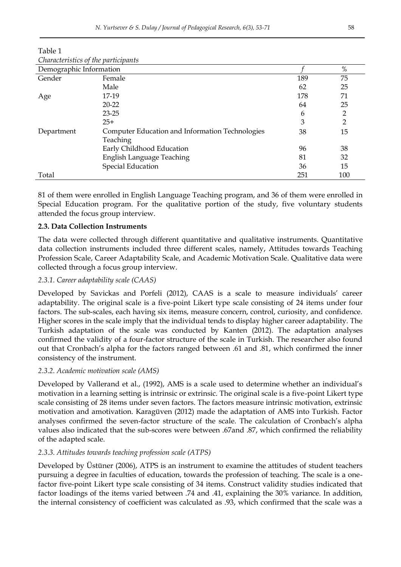| Characteristics of the participants |                                                 |     |                |  |
|-------------------------------------|-------------------------------------------------|-----|----------------|--|
|                                     | Demographic Information                         |     |                |  |
| Gender                              | Female                                          | 189 | 75             |  |
|                                     | Male                                            | 62  | 25             |  |
| Age                                 | 17-19                                           | 178 | 71             |  |
|                                     | $20 - 22$                                       | 64  | 25             |  |
|                                     | $23 - 25$                                       | 6   | $\overline{2}$ |  |
|                                     | $25+$                                           | 3   | $\overline{2}$ |  |
| Department                          | Computer Education and Information Technologies | 38  | 15             |  |
|                                     | <b>Teaching</b>                                 |     |                |  |
|                                     | Early Childhood Education                       | 96  | 38             |  |
|                                     | English Language Teaching                       | 81  | 32             |  |
|                                     | Special Education                               | 36  | 15             |  |
| Total                               |                                                 | 251 | 100            |  |

Table 1 *Characteristics of the participants* 

81 of them were enrolled in English Language Teaching program, and 36 of them were enrolled in Special Education program. For the qualitative portion of the study, five voluntary students attended the focus group interview.

### **2.3. Data Collection Instruments**

The data were collected through different quantitative and qualitative instruments. Quantitative data collection instruments included three different scales, namely, Attitudes towards Teaching Profession Scale, Career Adaptability Scale, and Academic Motivation Scale. Qualitative data were collected through a focus group interview.

### *2.3.1. Career adaptability scale (CAAS)*

Developed by Savickas and Porfeli (2012), CAAS is a scale to measure individuals' career adaptability. The original scale is a five-point Likert type scale consisting of 24 items under four factors. The sub-scales, each having six items, measure concern, control, curiosity, and confidence. Higher scores in the scale imply that the individual tends to display higher career adaptability. The Turkish adaptation of the scale was conducted by Kanten (2012). The adaptation analyses confirmed the validity of a four-factor structure of the scale in Turkish. The researcher also found out that Cronbach's alpha for the factors ranged between .61 and .81, which confirmed the inner consistency of the instrument.

### *2.3.2. Academic motivation scale (AMS)*

Developed by Vallerand et al., (1992), AMS is a scale used to determine whether an individual's motivation in a learning setting is intrinsic or extrinsic. The original scale is a five-point Likert type scale consisting of 28 items under seven factors. The factors measure intrinsic motivation, extrinsic motivation and amotivation. Karagüven (2012) made the adaptation of AMS into Turkish. Factor analyses confirmed the seven-factor structure of the scale. The calculation of Cronbach's alpha values also indicated that the sub-scores were between .67and .87, which confirmed the reliability of the adapted scale.

### *2.3.3. Attitudes towards teaching profession scale (ATPS)*

Developed by Üstüner (2006), ATPS is an instrument to examine the attitudes of student teachers pursuing a degree in faculties of education, towards the profession of teaching. The scale is a onefactor five-point Likert type scale consisting of 34 items. Construct validity studies indicated that factor loadings of the items varied between .74 and .41, explaining the 30% variance. In addition, the internal consistency of coefficient was calculated as .93, which confirmed that the scale was a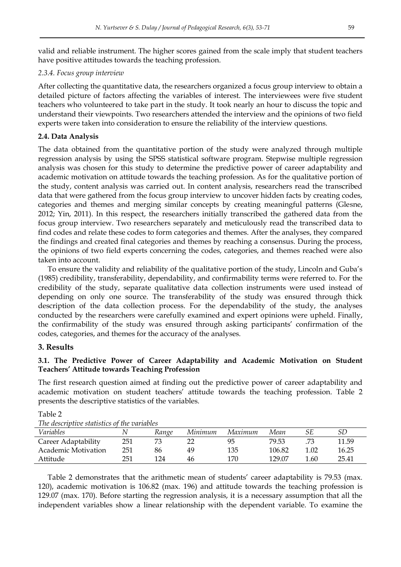valid and reliable instrument. The higher scores gained from the scale imply that student teachers have positive attitudes towards the teaching profession.

### *2.3.4. Focus group interview*

After collecting the quantitative data, the researchers organized a focus group interview to obtain a detailed picture of factors affecting the variables of interest. The interviewees were five student teachers who volunteered to take part in the study. It took nearly an hour to discuss the topic and understand their viewpoints. Two researchers attended the interview and the opinions of two field experts were taken into consideration to ensure the reliability of the interview questions.

### **2.4. Data Analysis**

The data obtained from the quantitative portion of the study were analyzed through multiple regression analysis by using the SPSS statistical software program. Stepwise multiple regression analysis was chosen for this study to determine the predictive power of career adaptability and academic motivation on attitude towards the teaching profession. As for the qualitative portion of the study, content analysis was carried out. In content analysis, researchers read the transcribed data that were gathered from the focus group interview to uncover hidden facts by creating codes, categories and themes and merging similar concepts by creating meaningful patterns (Glesne, 2012; Yin, 2011). In this respect, the researchers initially transcribed the gathered data from the focus group interview. Two researchers separately and meticulously read the transcribed data to find codes and relate these codes to form categories and themes. After the analyses, they compared the findings and created final categories and themes by reaching a consensus. During the process, the opinions of two field experts concerning the codes, categories, and themes reached were also taken into account.

To ensure the validity and reliability of the qualitative portion of the study, Lincoln and Guba's (1985) credibility, transferability, dependability, and confirmability terms were referred to. For the credibility of the study, separate qualitative data collection instruments were used instead of depending on only one source. The transferability of the study was ensured through thick description of the data collection process. For the dependability of the study, the analyses conducted by the researchers were carefully examined and expert opinions were upheld. Finally, the confirmability of the study was ensured through asking participants' confirmation of the codes, categories, and themes for the accuracy of the analyses.

### **3. Results**

Table 2

### **3.1. The Predictive Power of Career Adaptability and Academic Motivation on Student Teachers' Attitude towards Teaching Profession**

The first research question aimed at finding out the predictive power of career adaptability and academic motivation on student teachers' attitude towards the teaching profession. Table 2 presents the descriptive statistics of the variables.

| <i>The descriptive statistics of the variables</i> |     |       |         |         |        |      |       |  |
|----------------------------------------------------|-----|-------|---------|---------|--------|------|-------|--|
| <i>Variables</i>                                   |     | Range | Minimum | Maximum | Mean   |      | SD    |  |
| Career Adaptability                                | 251 | 73    |         | 95      | 79.53  | .73  | 11.59 |  |
| Academic Motivation                                | 251 | 86    | 49      | 135     | 106.82 | 1.02 | 16.25 |  |
| Attitude                                           | 251 | 124   | 46      | 170     | 129.07 | 1.60 | 25.41 |  |
|                                                    |     |       |         |         |        |      |       |  |

*The descriptive statistics of the variables*

Table 2 demonstrates that the arithmetic mean of students' career adaptability is 79.53 (max. 120), academic motivation is 106.82 (max. 196) and attitude towards the teaching profession is 129.07 (max. 170). Before starting the regression analysis, it is a necessary assumption that all the independent variables show a linear relationship with the dependent variable. To examine the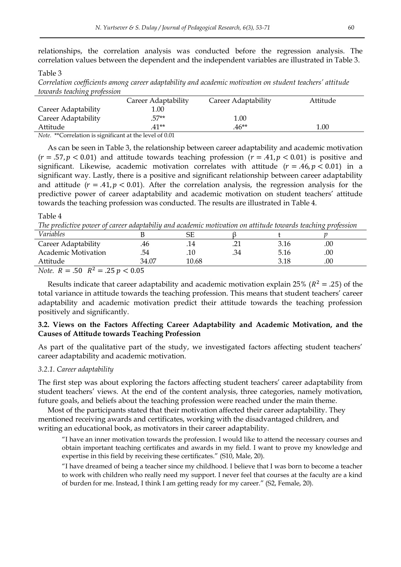relationships, the correlation analysis was conducted before the regression analysis. The correlation values between the dependent and the independent variables are illustrated in Table 3.

#### Table 3

*Correlation coefficients among career adaptability and academic motivation on student teachers' attitude towards teaching profession*

|                                                             | Career Adaptability | Career Adaptability | Attitude |  |
|-------------------------------------------------------------|---------------------|---------------------|----------|--|
| Career Adaptability                                         | .00.                |                     |          |  |
| Career Adaptability                                         | 57**                | 1.00                |          |  |
| Attitude                                                    | $41**$              | $.46**$             | 1.00     |  |
| $Mote^{-**}Correlation$ is significant at the level of 0.01 |                     |                     |          |  |

relation is significant at the level of 0.01

As can be seen in Table 3, the relationship between career adaptability and academic motivation  $(r = .57, p < 0.01)$  and attitude towards teaching profession  $(r = .41, p < 0.01)$  is positive and significant. Likewise, academic motivation correlates with attitude  $(r = .46, p < 0.01)$  in a significant way. Lastly, there is a positive and significant relationship between career adaptability and attitude ( $r = .41$ ,  $p < 0.01$ ). After the correlation analysis, the regression analysis for the predictive power of career adaptability and academic motivation on student teachers' attitude towards the teaching profession was conducted. The results are illustrated in Table 4.

#### Table 4

*The predictive power of career adaptabiliy and academic motivation on attitude towards teaching profession*

|                           |                      |       |       |      | .   |  |
|---------------------------|----------------------|-------|-------|------|-----|--|
| Variables                 |                      | SF    |       |      |     |  |
| Career Adaptability       | .46                  |       | ــ ــ | 3.16 | .00 |  |
| Academic Motivation       | .54                  | . I U | .34   | 5.16 | .00 |  |
| Attitude                  | 34.07                | 10.68 |       | 3.18 | .00 |  |
| $   \Omega$<br>$\sim$ $-$ | $\sim$ $\sim$ $\sim$ |       |       |      |     |  |

*Note.*  $R = .50$   $R^2$ 

Results indicate that career adaptability and academic motivation explain 25% ( $R^2 = .25$ ) of the total variance in attitude towards the teaching profession. This means that student teachers' career adaptability and academic motivation predict their attitude towards the teaching profession positively and significantly.

### **3.2. Views on the Factors Affecting Career Adaptability and Academic Motivation, and the Causes of Attitude towards Teaching Profession**

As part of the qualitative part of the study, we investigated factors affecting student teachers' career adaptability and academic motivation.

### *3.2.1. Career adaptability*

The first step was about exploring the factors affecting student teachers' career adaptability from student teachers' views. At the end of the content analysis, three categories, namely motivation, future goals, and beliefs about the teaching profession were reached under the main theme.

Most of the participants stated that their motivation affected their career adaptability. They mentioned receiving awards and certificates, working with the disadvantaged children, and writing an educational book, as motivators in their career adaptability.

"I have an inner motivation towards the profession. I would like to attend the necessary courses and obtain important teaching certificates and awards in my field. I want to prove my knowledge and expertise in this field by receiving these certificates." (S10, Male, 20).

"I have dreamed of being a teacher since my childhood. I believe that I was born to become a teacher to work with children who really need my support. I never feel that courses at the faculty are a kind of burden for me. Instead, I think I am getting ready for my career." (S2, Female, 20).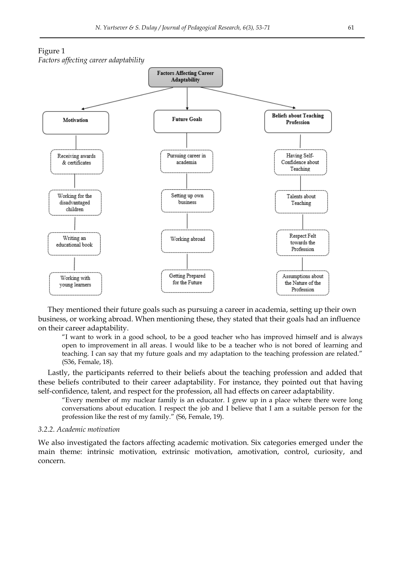

They mentioned their future goals such as pursuing a career in academia, setting up their own business, or working abroad. When mentioning these, they stated that their goals had an influence on their career adaptability.

"I want to work in a good school, to be a good teacher who has improved himself and is always open to improvement in all areas. I would like to be a teacher who is not bored of learning and teaching. I can say that my future goals and my adaptation to the teaching profession are related." (S36, Female, 18).

Lastly, the participants referred to their beliefs about the teaching profession and added that these beliefs contributed to their career adaptability. For instance, they pointed out that having self-confidence, talent, and respect for the profession, all had effects on career adaptability.

"Every member of my nuclear family is an educator. I grew up in a place where there were long conversations about education. I respect the job and I believe that I am a suitable person for the profession like the rest of my family." (S6, Female, 19).

#### *3.2.2. Academic motivation*

We also investigated the factors affecting academic motivation. Six categories emerged under the main theme: intrinsic motivation, extrinsic motivation, amotivation, control, curiosity, and concern.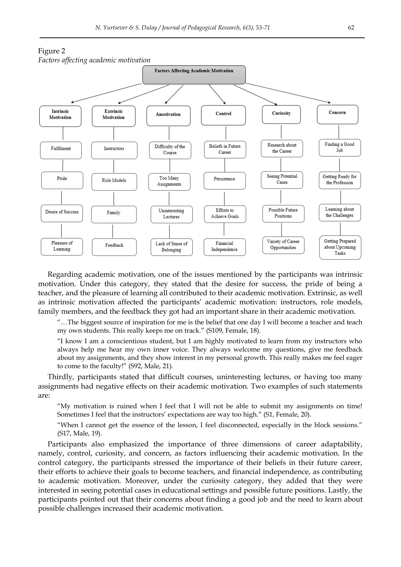

Regarding academic motivation, one of the issues mentioned by the participants was intrinsic motivation. Under this category, they stated that the desire for success, the pride of being a teacher, and the pleasure of learning all contributed to their academic motivation. Extrinsic, as well as intrinsic motivation affected the participants' academic motivation: instructors, role models, family members, and the feedback they got had an important share in their academic motivation.

"…The biggest source of inspiration for me is the belief that one day I will become a teacher and teach my own students. This really keeps me on track." (S109, Female, 18).

"I know I am a conscientious student, but I am highly motivated to learn from my instructors who always help me hear my own inner voice. They always welcome my questions, give me feedback about my assignments, and they show interest in my personal growth. This really makes me feel eager to come to the faculty!" (S92, Male, 21).

Thirdly, participants stated that difficult courses, uninteresting lectures, or having too many assignments had negative effects on their academic motivation. Two examples of such statements are:

"My motivation is ruined when I feel that I will not be able to submit my assignments on time! Sometimes I feel that the instructors' expectations are way too high." (S1, Female, 20).

"When I cannot get the essence of the lesson, I feel disconnected, especially in the block sessions." (S17, Male, 19).

Participants also emphasized the importance of three dimensions of career adaptability, namely, control, curiosity, and concern, as factors influencing their academic motivation. In the control category, the participants stressed the importance of their beliefs in their future career, their efforts to achieve their goals to become teachers, and financial independence, as contributing to academic motivation. Moreover, under the curiosity category, they added that they were interested in seeing potential cases in educational settings and possible future positions. Lastly, the participants pointed out that their concerns about finding a good job and the need to learn about possible challenges increased their academic motivation.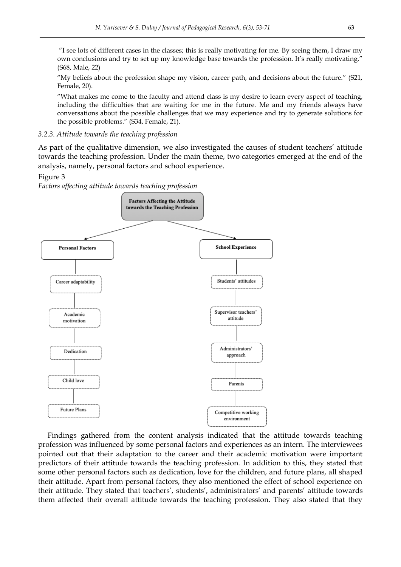"I see lots of different cases in the classes; this is really motivating for me. By seeing them, I draw my own conclusions and try to set up my knowledge base towards the profession. It's really motivating." (S68, Male, 22)

"My beliefs about the profession shape my vision, career path, and decisions about the future." (S21, Female, 20).

"What makes me come to the faculty and attend class is my desire to learn every aspect of teaching, including the difficulties that are waiting for me in the future. Me and my friends always have conversations about the possible challenges that we may experience and try to generate solutions for the possible problems." (S34, Female, 21).

*3.2.3. Attitude towards the teaching profession*

As part of the qualitative dimension, we also investigated the causes of student teachers' attitude towards the teaching profession. Under the main theme, two categories emerged at the end of the analysis, namely, personal factors and school experience.

#### Figure 3

*Factors affecting attitude towards teaching profession*



Findings gathered from the content analysis indicated that the attitude towards teaching profession was influenced by some personal factors and experiences as an intern. The interviewees pointed out that their adaptation to the career and their academic motivation were important predictors of their attitude towards the teaching profession. In addition to this, they stated that some other personal factors such as dedication, love for the children, and future plans, all shaped their attitude. Apart from personal factors, they also mentioned the effect of school experience on their attitude. They stated that teachers', students', administrators' and parents' attitude towards them affected their overall attitude towards the teaching profession. They also stated that they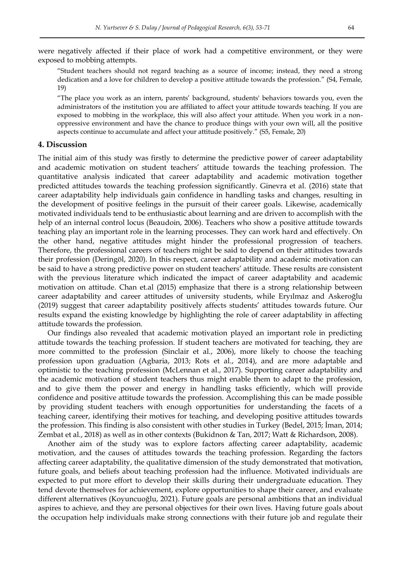were negatively affected if their place of work had a competitive environment, or they were exposed to mobbing attempts.

"Student teachers should not regard teaching as a source of income; instead, they need a strong dedication and a love for children to develop a positive attitude towards the profession." (S4, Female, 19)

"The place you work as an intern, parents' background, students' behaviors towards you, even the administrators of the institution you are affiliated to affect your attitude towards teaching. If you are exposed to mobbing in the workplace, this will also affect your attitude. When you work in a nonoppressive environment and have the chance to produce things with your own will, all the positive aspects continue to accumulate and affect your attitude positively." (S5, Female, 20)

### **4. Discussion**

The initial aim of this study was firstly to determine the predictive power of career adaptability and academic motivation on student teachers' attitude towards the teaching profession. The quantitative analysis indicated that career adaptability and academic motivation together predicted attitudes towards the teaching profession significantly. Ginevra et al. (2016) state that career adaptability help individuals gain confidence in handling tasks and changes, resulting in the development of positive feelings in the pursuit of their career goals. Likewise, academically motivated individuals tend to be enthusiastic about learning and are driven to accomplish with the help of an internal control locus (Beaudoin, 2006). Teachers who show a positive attitude towards teaching play an important role in the learning processes. They can work hard and effectively. On the other hand, negative attitudes might hinder the professional progression of teachers. Therefore, the professional careers of teachers might be said to depend on their attitudes towards their profession (Deringöl, 2020). In this respect, career adaptability and academic motivation can be said to have a strong predictive power on student teachers' attitude. These results are consistent with the previous literature which indicated the impact of career adaptability and academic motivation on attitude. Chan et.al (2015) emphasize that there is a strong relationship between career adaptability and career attitudes of university students, while Eryılmaz and Askeroğlu (2019) suggest that career adaptability positively affects students' attitudes towards future. Our results expand the existing knowledge by highlighting the role of career adaptability in affecting attitude towards the profession.

Our findings also revealed that academic motivation played an important role in predicting attitude towards the teaching profession. If student teachers are motivated for teaching, they are more committed to the profession (Sinclair et al., 2006), more likely to choose the teaching profession upon graduation (Agbaria, 2013; Rots et al., 2014), and are more adaptable and optimistic to the teaching profession (McLennan et al., 2017). Supporting career adaptability and the academic motivation of student teachers thus might enable them to adapt to the profession, and to give them the power and energy in handling tasks efficiently, which will provide confidence and positive attitude towards the profession. Accomplishing this can be made possible by providing student teachers with enough opportunities for understanding the facets of a teaching career, identifying their motives for teaching, and developing positive attitudes towards the profession. This finding is also consistent with other studies in Turkey (Bedel, 2015; İman, 2014; Zembat et al., 2018) as well as in other contexts (Bukidnon & Tan, 2017; Watt & Richardson, 2008).

Another aim of the study was to explore factors affecting career adaptability, academic motivation, and the causes of attitudes towards the teaching profession. Regarding the factors affecting career adaptability, the qualitative dimension of the study demonstrated that motivation, future goals, and beliefs about teaching profession had the influence. Motivated individuals are expected to put more effort to develop their skills during their undergraduate education. They tend devote themselves for achievement, explore opportunities to shape their career, and evaluate different alternatives (Koyuncuoğlu, 2021). Future goals are personal ambitions that an individual aspires to achieve, and they are personal objectives for their own lives. Having future goals about the occupation help individuals make strong connections with their future job and regulate their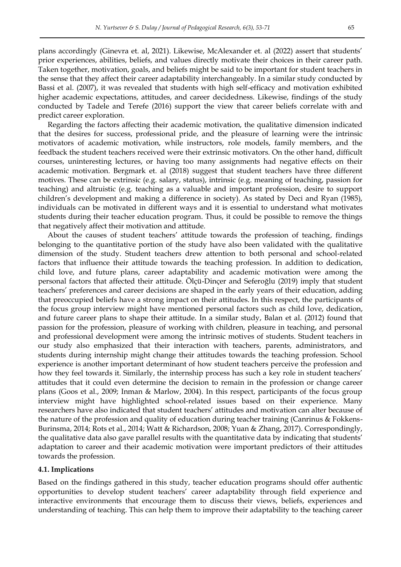plans accordingly (Ginevra et. al, 2021). Likewise, McAlexander et. al (2022) assert that students' prior experiences, abilities, beliefs, and values directly motivate their choices in their career path. Taken together, motivation, goals, and beliefs might be said to be important for student teachers in the sense that they affect their career adaptability interchangeably. In a similar study conducted by Bassi et al. (2007), it was revealed that students with high self-efficacy and motivation exhibited higher academic expectations, attitudes, and career decidedness. Likewise, findings of the study conducted by Tadele and Terefe (2016) support the view that career beliefs correlate with and predict career exploration.

Regarding the factors affecting their academic motivation, the qualitative dimension indicated that the desires for success, professional pride, and the pleasure of learning were the intrinsic motivators of academic motivation, while instructors, role models, family members, and the feedback the student teachers received were their extrinsic motivators. On the other hand, difficult courses, uninteresting lectures, or having too many assignments had negative effects on their academic motivation. Bergmark et. al (2018) suggest that student teachers have three different motives. These can be extrinsic (e.g. salary, status), intrinsic (e.g. meaning of teaching, passion for teaching) and altruistic (e.g. teaching as a valuable and important profession, desire to support children's development and making a difference in society). As stated by Deci and Ryan (1985), individuals can be motivated in different ways and it is essential to understand what motivates students during their teacher education program. Thus, it could be possible to remove the things that negatively affect their motivation and attitude.

About the causes of student teachers' attitude towards the profession of teaching, findings belonging to the quantitative portion of the study have also been validated with the qualitative dimension of the study. Student teachers drew attention to both personal and school-related factors that influence their attitude towards the teaching profession. In addition to dedication, child love, and future plans, career adaptability and academic motivation were among the personal factors that affected their attitude. Ölçü-Dinçer and Seferoğlu (2019) imply that student teachers' preferences and career decisions are shaped in the early years of their education, adding that preoccupied beliefs have a strong impact on their attitudes. In this respect, the participants of the focus group interview might have mentioned personal factors such as child love, dedication, and future career plans to shape their attitude. In a similar study, Balan et al. (2012) found that passion for the profession, pleasure of working with children, pleasure in teaching, and personal and professional development were among the intrinsic motives of students. Student teachers in our study also emphasized that their interaction with teachers, parents, administrators, and students during internship might change their attitudes towards the teaching profession. School experience is another important determinant of how student teachers perceive the profession and how they feel towards it. Similarly, the internship process has such a key role in student teachers' attitudes that it could even determine the decision to remain in the profession or change career plans (Goos et al., 2009; Inman & Marlow, 2004). In this respect, participants of the focus group interview might have highlighted school-related issues based on their experience. Many researchers have also indicated that student teachers' attitudes and motivation can alter because of the nature of the profession and quality of education during teacher training (Canrinus & Fokkens-Burinsma, 2014; Rots et al., 2014; Watt & Richardson, 2008; Yuan & Zhang, 2017). Correspondingly, the qualitative data also gave parallel results with the quantitative data by indicating that students' adaptation to career and their academic motivation were important predictors of their attitudes towards the profession.

#### **4.1. Implications**

Based on the findings gathered in this study, teacher education programs should offer authentic opportunities to develop student teachers' career adaptability through field experience and interactive environments that encourage them to discuss their views, beliefs, experiences and understanding of teaching. This can help them to improve their adaptability to the teaching career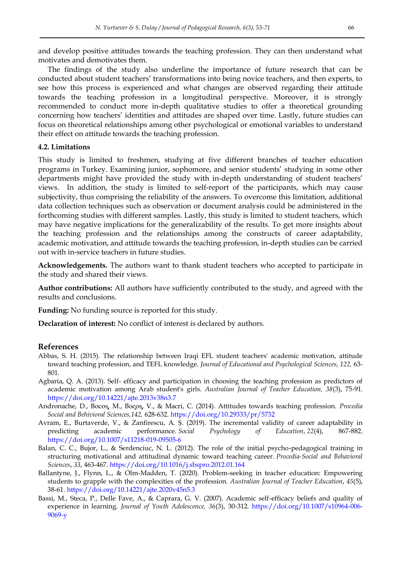and develop positive attitudes towards the teaching profession. They can then understand what motivates and demotivates them.

The findings of the study also underline the importance of future research that can be conducted about student teachers' transformations into being novice teachers, and then experts, to see how this process is experienced and what changes are observed regarding their attitude towards the teaching profession in a longitudinal perspective. Moreover, it is strongly recommended to conduct more in-depth qualitative studies to offer a theoretical grounding concerning how teachers' identities and attitudes are shaped over time. Lastly, future studies can focus on theoretical relationships among other psychological or emotional variables to understand their effect on attitude towards the teaching profession.

### **4.2. Limitations**

This study is limited to freshmen, studying at five different branches of teacher education programs in Turkey. Examining junior, sophomore, and senior students' studying in some other departments might have provided the study with in-depth understanding of student teachers' views. In addition, the study is limited to self-report of the participants, which may cause subjectivity, thus comprising the reliability of the answers. To overcome this limitation, additional data collection techniques such as observation or document analysis could be administered in the forthcoming studies with different samples. Lastly, this study is limited to student teachers, which may have negative implications for the generalizability of the results. To get more insights about the teaching profession and the relationships among the constructs of career adaptability, academic motivation, and attitude towards the teaching profession, in-depth studies can be carried out with in-service teachers in future studies.

**Acknowledgements.** The authors want to thank student teachers who accepted to participate in the study and shared their views.

**Author contributions:** All authors have sufficiently contributed to the study, and agreed with the results and conclusions.

**Funding:** No funding source is reported for this study.

**Declaration of interest:** No conflict of interest is declared by authors.

#### **References**

- Abbas, S. H. (2015). The relationship between Iraqi EFL student teachers' academic motivation, attitude toward teaching profession, and TEFL knowledge. *Journal of Educational and Psychological Sciences, 122,* 63- 801.
- Agbaria, Q. A. (2013). Self- efficacy and participation in choosing the teaching profession as predictors of academic motivation among Arab student's girls. *Australian Journal of Teacher Education, 38*(3), 75-91. <https://doi.org/10.14221/ajte.2013v38n3.7>
- Andronache, D., Bocos, M., Bocos, V., & Macri, C. (2014). Attitudes towards teaching profession. *Procedia Social and Behivioral Sciences,142,* 628-632.<https://doi.org/10.29333/pr/5732>
- Avram, E., Burtaverde, V., & Zanfirescu, A. Ș. (2019). The incremental validity of career adaptability in predicting academic performance. *Social Psychology of Education*, *22*(4), 867-882. <https://doi.org/10.1007/s11218-019-09505-6>
- Balan, C. C., Bujor, L., & Serdenciuc, N. L. (2012). The role of the initial psycho-pedagogical training in structuring motivational and attitudinal dynamic toward teaching career. *Procedia-Social and Behavioral Sciences*, *33*, 463-467.<https://doi.org/10.1016/j.sbspro.2012.01.164>
- Ballantyne, J., Flynn, L., & Olm-Madden, T. (2020). Problem-seeking in teacher education: Empowering students to grapple with the complexities of the profession. *Australian Journal of Teacher Education*, *45*(5), 38-61.<https://doi.org/10.14221/ajte.2020v45n5.3>
- Bassi, M., Steca, P., Delle Fave, A., & Caprara, G. V. (2007). Academic self-efficacy beliefs and quality of experience in learning. *Journal of Youth Adolescence, 36*(3), 30-312. [https://doi.org/10.1007/s10964-006-](https://doi.org/10.1007/s10964-006-9069-y) [9069-y](https://doi.org/10.1007/s10964-006-9069-y)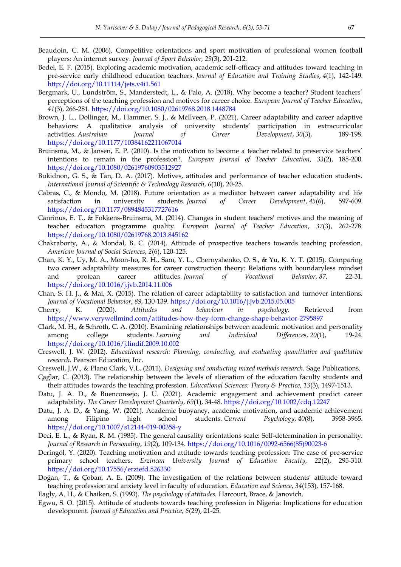- Beaudoin, C. M. (2006). Competitive orientations and sport motivation of professional women football players: An internet survey. *Journal of Sport Behavior, 29*(3), 201-212.
- Bedel, E. F. (2015). Exploring academic motivation, academic self-efficacy and attitudes toward teaching in pre-service early childhood education teachers. *Journal of Education and Training Studies*, *4*(1), 142-149. <http://doi.org/10.11114/jets.v4i1.561>
- Bergmark, U., Lundström, S., Manderstedt, L., & Palo, A. (2018). Why become a teacher? Student teachers' perceptions of the teaching profession and motives for career choice. *European Journal of Teacher Education*, *41*(3), 266-281.<https://doi.org/10.1080/02619768.2018.1448784>
- Brown, J. L., Dollinger, M., Hammer, S. J., & McIlveen, P. (2021). Career adaptability and career adaptive behaviors: A qualitative analysis of university students' participation in extracurricular activities. *Australian Journal of Career Development*, *30*(3), 189-198. <https://doi.org/10.1177/10384162211067014>
- Bruinsma, M., & Jansen, E. P. (2010). Is the motivation to become a teacher related to preservice teachers' intentions to remain in the profession?. *European Journal of Teacher Education*, *33*(2), 185-200. <https://doi.org/10.1080/02619760903512927>
- Bukidnon, G. S., & Tan, D. A. (2017). Motives, attitudes and performance of teacher education students. *International Journal of Scientific & Technology Research*, *6*(10), 20-25.
- Cabras, C., & Mondo, M. (2018). Future orientation as a mediator between career adaptability and life satisfaction in university students. *Journal of Career Development*, *45*(6), 597-609. <https://doi.org/10.1177/0894845317727616>
- Canrinus, E. T., & Fokkens-Bruinsma, M. (2014). Changes in student teachers' motives and the meaning of teacher education programme quality. *European Journal of Teacher Education*, *37*(3), 262-278. <https://doi.org/10.1080/02619768.2013.845162>
- Chakraborty, A., & Mondal, B. C. (2014). Attitude of prospective teachers towards teaching profession. *American Journal of Social Sciences*, *2*(6), 120-125.
- Chan, K. Y., Uy, M. A., Moon-ho, R. H., Sam, Y. L., Chernyshenko, O. S., & Yu, K. Y. T. (2015). Comparing two career adaptability measures for career construction theory: Relations with boundaryless mindset and protean career attitudes. *Journal of Vocational Behavior*, *87*, 22-31. <https://doi.org/10.1016/j.jvb.2014.11.006>
- Chan, S. H. J., & Mai, X. (2015). The relation of career adaptability to satisfaction and turnover intentions. *Journal of Vocational Behavior*, *89*, 130-139.<https://doi.org/10.1016/j.jvb.2015.05.005>
- Cherry, K. (2020). *Attitudes and behaviour in psychology.* Retrieved from <https://www.verywellmind.com/attitudes-how-they-form-change-shape-behavior-2795897>
- Clark, M. H., & Schroth, C. A. (2010). Examining relationships between academic motivation and personality among college students. *Learning and Individual Differences*, *20*(1), 19-24. <https://doi.org/10.1016/j.lindif.2009.10.002>
- Creswell, J. W. (2012). *Educational research: Planning, conducting, and evaluating quantitative and qualitative research*. Pearson Education, Inc.
- Creswell, J.W., & Plano Clark, V.L. (2011). *Designing and conducting mixed methods research.* Sage Publications.
- Caglar, C. (2013). The relationship between the levels of alienation of the education faculty students and their attitudes towards the teaching profession. *Educational Sciences: Theory & Practice, 13*(3), 1497-1513.
- Datu, J. A. D., & Buenconsejo, J. U. (2021). Academic engagement and achievement predict career adaptability. *The Career Development Quarterly*, *69*(1), 34-48. <https://doi.org/10.1002/cdq.12247>
- Datu, J. A. D., & Yang, W. (2021). Academic buoyancy, academic motivation, and academic achievement among Filipino high school students. *Current Psychology*, *40*(8), 3958-3965. <https://doi.org/10.1007/s12144-019-00358-y>
- Deci, E. L., & Ryan, R. M. (1985). The general causality orientations scale: Self-determination in personality. *Journal of Research in Personality*, *19*(2), 109-134. [https://doi.org/10.1016/0092-6566\(85\)90023-6](https://doi.org/10.1016/0092-6566(85)90023-6)
- Deringöl, Y. (2020). Teaching motivation and attitude towards teaching profession: The case of pre-service primary school teachers. *Erzincan University Journal of Education Faculty, 22*(2), 295-310. <https://doi.org/10.17556/erziefd.526330>
- Doğan, T., & Çoban, A. E. (2009). The investigation of the relations between students' attitude toward teaching profession and anxiety level in faculty of education. *Education and Science*, *34*(153), 157-168.
- Eagly, A. H., & Chaiken, S. (1993). *The psychology of attitudes.* Harcourt, Brace, & Janovich.
- Egwu, S. O. (2015). Attitude of students towards teaching profession in Nigeria: Implications for education development. *Journal of Education and Practice, 6*(29), 21-25.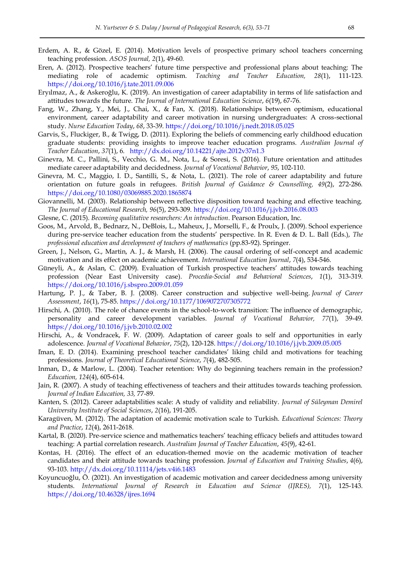- Erdem, A. R., & Gözel, E. (2014). Motivation levels of prospective primary school teachers concerning teaching profession. *ASOS Journal, 2*(1), 49-60.
- Eren, A. (2012). Prospective teachers' future time perspective and professional plans about teaching: The mediating role of academic optimism. *Teaching and Teacher Education, 28*(1), 111-123. <https://doi.org/10.1016/j.tate.2011.09.006>
- Eryılmaz, A., & Askeroğlu, K. (2019). An investigation of career adaptability in terms of life satisfaction and attitudes towards the future. *The Journal of International Education Science*, *6*(19), 67-76.
- Fang, W., Zhang, Y., Mei, J., Chai, X., & Fan, X. (2018). Relationships between optimism, educational environment, career adaptability and career motivation in nursing undergraduates: A cross-sectional study. *Nurse Education Today*, *68*, 33-39[. https://doi.org/10.1016/j.nedt.2018.05.025](https://doi.org/10.1016/j.nedt.2018.05.025)
- Garvis, S., Fluckiger, B., & Twigg, D. (2011). Exploring the beliefs of commencing early childhood education graduate students: providing insights to improve teacher education programs. *Australian Journal of Teacher Education*, *37*(1), 6. <http://dx.doi.org/10.14221/ajte.2012v37n1.3>
- Ginevra, M. C., Pallini, S., Vecchio, G. M., Nota, L., & Soresi, S. (2016). Future orientation and attitudes mediate career adaptability and decidedness. *Journal of Vocational Behavior*, *95*, 102-110.
- Ginevra, M. C., Maggio, I. D., Santilli, S., & Nota, L. (2021). The role of career adaptability and future orientation on future goals in refugees. *British Journal of Guidance & Counselling, 49*(2), 272-286*.*  <https://doi.org/10.1080/03069885.2020.1865874>
- Giovannelli, M. (2003). Relationship between reflective disposition toward teaching and effective teaching. *The Journal of Educational Research, 96*(5), 293-309. <https://doi.org/10.1016/j.jvb.2016.08.003>
- Glesne, C. (2015). *Becoming qualitative researchers: An introduction*. Pearson Education, Inc.
- Goos, M., Arvold, B., Bednarz, N., DeBlois, L., Maheux, J., Morselli, F., & Proulx, J. (2009). School experience during pre-service teacher education from the students' perspective. In R. Even & D. L. Ball (Eds.), *The professional education and development of teachers of mathematics* (pp.83-92). Springer.
- Green, J., Nelson, G., Martin, A. J., & Marsh, H. (2006). The causal ordering of self-concept and academic motivation and its effect on academic achievement. *International Education Journal*, *7*(4), 534-546.
- Güneyli, A., & Aslan, C. (2009). Evaluation of Turkish prospective teachers' attitudes towards teaching profession (Near East University case). *Procedia-Social and Behavioral Sciences*, *1*(1), 313-319. <https://doi.org/10.1016/j.sbspro.2009.01.059>
- Hartung, P. J., & Taber, B. J. (2008). Career construction and subjective well-being. *Journal of Career Assessment*, *16*(1), 75-85. <https://doi.org/10.1177/1069072707305772>
- Hirschi, A. (2010). The role of chance events in the school-to-work transition: The influence of demographic, personality and career development variables. *Journal of Vocational Behavior, 77*(1), 39-49. <https://doi.org/10.1016/j.jvb.2010.02.002>
- Hirschi, A., & Vondracek, F. W. (2009). Adaptation of career goals to self and opportunities in early adolescence. *Journal of Vocational Behavior*, *75*(2), 120-128.<https://doi.org/10.1016/j.jvb.2009.05.005>
- Iman, E. D. (2014). Examining preschool teacher candidates' liking child and motivations for teaching professions. *Journal of Theoretical Educational Science*, *7*(4), 482-505.
- Inman, D., & Marlow, L. (2004). Teacher retention: Why do beginning teachers remain in the profession? *Education, 124*(4), 605-614.
- Jain, R. (2007). A study of teaching effectiveness of teachers and their attitudes towards teaching profession. *Journal of Indian Education, 33,* 77-89.
- Kanten, S. (2012). Career adaptabilities scale: A study of validity and reliability. *Journal of Süleyman Demirel University Institute of Social Sciences*, *2*(16), 191-205.
- Karagüven, M. (2012). The adaptation of academic motivation scale to Turkish. *Educational Sciences: Theory and Practice*, *12*(4), 2611-2618.
- Kartal, B. (2020). Pre-service science and mathematics teachers' teaching efficacy beliefs and attitudes toward teaching: A partial correlation research. *Australian Journal of Teacher Education*, *45*(9), 42-61.
- Kontas, H. (2016). The effect of an education-themed movie on the academic motivation of teacher candidates and their attitude towards teaching profession. *Journal of Education and Training Studies*, *4*(6), 93-103. <http://dx.doi.org/10.11114/jets.v4i6.1483>
- Koyuncuoğlu, Ö. (2021). An investigation of academic motivation and career decidedness among university students. *International Journal of Research in Education and Science (IJRES), 7*(1), 125-143. <https://doi.org/10.46328/ijres.1694>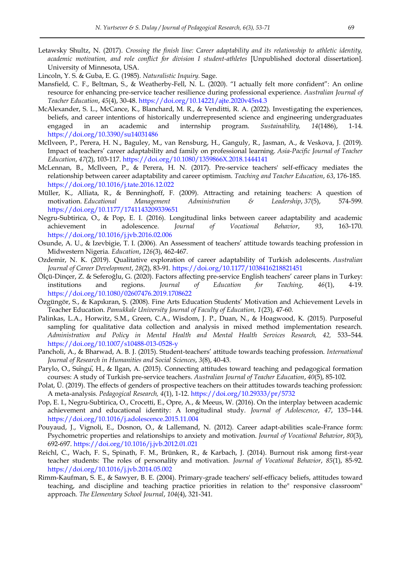- Letawsky Shultz, N. (2017). *Crossing the finish line: Career adaptability and its relationship to athletic identity, academic motivation, and role conflict for division I student-athletes* [Unpublished doctoral dissertation]. University of Minnesota, USA.
- Lincoln, Y. S. & Guba, E. G. (1985). *Naturalistic Inquiry.* Sage.
- Mansfield, C. F., Beltman, S., & Weatherby-Fell, N. L. (2020). "I actually felt more confident": An online resource for enhancing pre-service teacher resilience during professional experience. *Australian Journal of Teacher Education*, *45*(4), 30-48. <https://doi.org/10.14221/ajte.2020v45n4.3>
- McAlexander, S. L., McCance, K., Blanchard, M. R., & Venditti, R. A. (2022). Investigating the experiences, beliefs, and career intentions of historically underrepresented science and engineering undergraduates engaged in an academic and internship program. *Sustainability, 14*(1486), 1-14. <https://doi.org/10.3390/su14031486>
- McIlveen, P., Perera, H. N., Baguley, M., van Rensburg, H., Ganguly, R., Jasman, A., & Veskova, J. (2019). Impact of teachers' career adaptability and family on professional learning. *Asia-Pacific Journal of Teacher Education*, *47*(2), 103-117. <https://doi.org/10.1080/1359866X.2018.1444141>
- McLennan, B., McIlveen, P., & Perera, H. N. (2017). Pre-service teachers' self-efficacy mediates the relationship between career adaptability and career optimism. *Teaching and Teacher Education*, *63*, 176-185. <https://doi.org/10.1016/j.tate.2016.12.022>
- Müller, K., Alliata, R., & Benninghoff, F. (2009). Attracting and retaining teachers: A question of motivation. *Educational Management Administration & Leadership*, *37*(5), 574-599. <https://doi.org/10.1177/1741143209339651>
- Negru-Subtirica, O., & Pop, E. I. (2016). Longitudinal links between career adaptability and academic achievement in adolescence. *Journal of Vocational Behavior*, *93*, 163-170. <https://doi.org/10.1016/j.jvb.2016.02.006>
- Osunde, A. U., & Izevbigie, T. I. (2006). An Assessment of teachers' attitude towards teaching profession in Midwestern Nigeria. *Education*, *126*(3), 462-467.
- Ozdemir, N. K. (2019). Qualitative exploration of career adaptability of Turkish adolescents. *Australian Journal of Career Development*, *28*(2), 83-91. <https://doi.org/10.1177/1038416218821451>
- Ölçü-Dinçer, Z. & Seferoğlu, G. (2020). Factors affecting pre-service English teachers' career plans in Turkey: institutions and regions. *Journal of Education for Teaching, 46*(1), 4-19. <https://doi.org/10.1080/02607476.2019.1708622>
- Özgüngör, S., & Kapıkıran, Ş. (2008). Fine Arts Education Students' Motivation and Achievement Levels in Teacher Education. *Pamukkale University Journal of Faculty of Education, 1*(23), 47-60.
- Palinkas, L.A., Horwitz, S.M., Green, C.A., Wisdom, J. P., Duan, N., & Hoagwood, K. (2015). Purposeful sampling for qualitative data collection and analysis in mixed method implementation research. *Administration and Policy in Mental Health and Mental Health Services Research, 42,* 533–544. <https://doi.org/10.1007/s10488-013-0528-y>
- Pancholi, A., & Bharwad, A. B. J. (2015). Student-teachers' attitude towards teaching profession. *International Journal of Research in Humanities and Social Sciences*, *3*(8), 40-43.
- Parylo, O., Sungu, H., & Ilgan, A. (2015). Connecting attitudes toward teaching and pedagogical formation courses: A study of Turkish pre-service teachers. *Australian Journal of Teacher Education*, *40*(5), 85-102.
- Polat, Ü. (2019). The effects of genders of prospective teachers on their attitudes towards teaching profession: A meta-analysis. *Pedagogical Research, 4*(1), 1-12.<https://doi.org/10.29333/pr/5732>
- Pop, E. I., Negru-Subtirica, O., Crocetti, E., Opre, A., & Meeus, W. (2016). On the interplay between academic achievement and educational identity: A longitudinal study. *Journal of Adolescence*, *47*, 135–144. <https://doi.org/10.1016/j.adolescence.2015.11.004>
- Pouyaud, J., Vignoli, E., Dosnon, O., & Lallemand, N. (2012). Career adapt-abilities scale-France form: Psychometric properties and relationships to anxiety and motivation. *Journal of Vocational Behavior*, *80*(3), 692-697. <https://doi.org/10.1016/j.jvb.2012.01.021>
- Reichl, C., Wach, F. S., Spinath, F. M., Brünken, R., & Karbach, J. (2014). Burnout risk among first-year teacher students: The roles of personality and motivation. *Journal of Vocational Behavior*, *85*(1), 85-92. <https://doi.org/10.1016/j.jvb.2014.05.002>
- Rimm-Kaufman, S. E., & Sawyer, B. E. (2004). Primary-grade teachers' self-efficacy beliefs, attitudes toward teaching, and discipline and teaching practice priorities in relation to the" responsive classroom" approach. *The Elementary School Journal*, *104*(4), 321-341.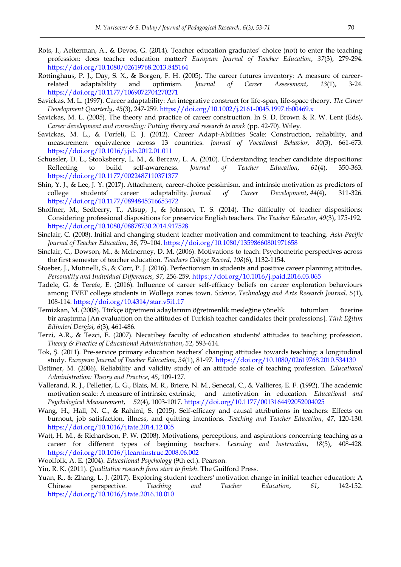- Rots, I., Aelterman, A., & Devos, G. (2014). Teacher education graduates' choice (not) to enter the teaching profession: does teacher education matter? *European Journal of Teacher Education*, *37*(3), 279-294. <https://doi.org/10.1080/02619768.2013.845164>
- Rottinghaus, P. J., Day, S. X., & Borgen, F. H. (2005). The career futures inventory: A measure of careerrelated adaptability and optimism. *Journal of Career Assessment*, *13*(1), 3-24. <https://doi.org/10.1177/1069072704270271>
- Savickas, M. L. (1997). Career adaptability: An integrative construct for life-span, life-space theory. *The Career Development Quarterly*, *45*(3), 247-259. <https://doi.org/10.1002/j.2161-0045.1997.tb00469.x>
- Savickas, M. L. (2005). The theory and practice of career construction. In S. D. Brown & R. W. Lent (Eds), *Career development and counseling: Putting theory and research to work* (pp. 42-70). Wiley.
- Savickas, M. L., & Porfeli, E. J. (2012). Career Adapt-Abilities Scale: Construction, reliability, and measurement equivalence across 13 countries. *Journal of Vocational Behavior, 80*(3), 661-673. <https://doi.org/10.1016/j.jvb.2012.01.011>
- Schussler, D. L., Stooksberry, L. M., & Bercaw, L. A. (2010). Understanding teacher candidate dispositions: Reflecting to build self-awareness. *Journal of Teacher Education, 61*(4), 350-363. <https://doi.org/10.1177/0022487110371377>
- Shin, Y. J., & Lee, J. Y. (2017). Attachment, career-choice pessimism, and intrinsic motivation as predictors of college students' career adaptability. *Journal of Career Development*, *44*(4), 311-326. <https://doi.org/10.1177/0894845316653472>
- Shoffner, M., Sedberry, T., Alsup, J., & Johnson, T. S. (2014). The difficulty of teacher dispositions: Considering professional dispositions for preservice English teachers. *The Teacher Educator*, *49*(3), 175-192. <https://doi.org/10.1080/08878730.2014.917528>
- Sinclair, C. (2008). Initial and changing student teacher motivation and commitment to teaching. *Asia-Pacific Journal of Teacher Education*, *36*, 79–104.<https://doi.org/10.1080/13598660801971658>
- Sinclair, C., Dowson, M., & McInerney, D. M. (2006). Motivations to teach: Psychometric perspectives across the first semester of teacher education. *Teachers College Record*, *108*(6), 1132-1154.
- Stoeber, J., Mutinelli, S., & Corr, P. J. (2016). Perfectionism in students and positive career planning attitudes. *Personality and Individual Differences, 97,* 256-259. <https://doi.org/10.1016/j.paid.2016.03.065>
- Tadele, G. & Terefe, E. (2016). Influence of career self-efficacy beliefs on career exploration behaviours among TVET college students in Wollega zones town. *Science, Technology and Arts Research Journal, 5*(1), 108-114.<https://doi.org/10.4314/star.v5i1.17>
- Temizkan, M. (2008). Türkçe öğretmeni adaylarının öğretmenlik mesleğine yönelik tutumları üzerine bir araştırma [An evaluation on the attitudes of Turkish teacher candidates their professions]. *Türk Eğitim Bilimleri Dergisi, 6*(3), 461-486.
- Terzi, A.R., & Tezci, E. (2007). Necatibey faculty of education students' attitudes to teaching profession. *Theory & Practice of Educational Administration*, *52*, 593-614.
- Tok, Ş. (2011). Pre-service primary education teachers' changing attitudes towards teaching: a longitudinal study. *European Journal of Teacher Education*, *34*(1), 81-97. <https://doi.org/10.1080/02619768.2010.534130>
- Üstüner, M. (2006). Reliability and validity study of an attitude scale of teaching profession. *Educational Administration: Theory and Practice*, *45*, 109-127.
- Vallerand, R. J., Pelletier, L. G., Blais, M. R., Briere, N. M., Senecal, C., & Vallieres, E. F. (1992). The academic motivation scale: A measure of intrinsic, extrinsic, and amotivation in education. *Educational and Psychological Measurement*, *52*(4), 1003-1017. <https://doi.org/10.1177/0013164492052004025>
- Wang, H., Hall, N. C., & Rahimi, S. (2015). Self-efficacy and causal attributions in teachers: Effects on burnout, job satisfaction, illness, and quitting intentions. *Teaching and Teacher Education*, *47*, 120-130. <https://doi.org/10.1016/j.tate.2014.12.005>
- Watt, H. M., & Richardson, P. W. (2008). Motivations, perceptions, and aspirations concerning teaching as a career for different types of beginning teachers. *Learning and Instruction*, *18*(5), 408-428. <https://doi.org/10.1016/j.learninstruc.2008.06.002>
- Woolfolk, A. E. (2004). *Educational Psychology* (9th ed.). Pearson.
- Yin, R. K. (2011). *Qualitative research from start to finish*. The Guilford Press.
- Yuan, R., & Zhang, L. J. (2017). Exploring student teachers' motivation change in initial teacher education: A Chinese perspective. *Teaching and Teacher Education*, *61*, 142-152. <https://doi.org/10.1016/j.tate.2016.10.010>